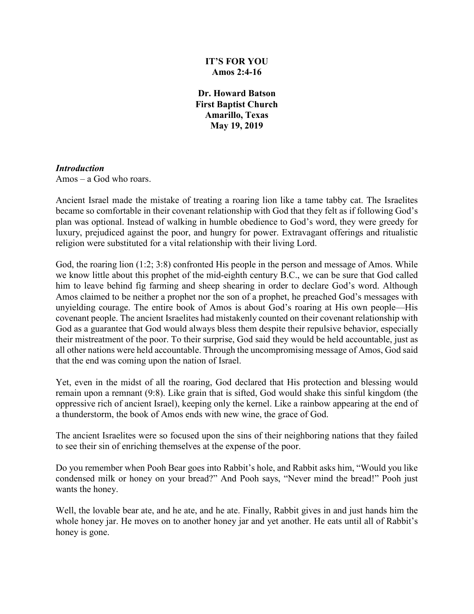### **IT'S FOR YOU Amos 2:4-16**

**Dr. Howard Batson First Baptist Church Amarillo, Texas May 19, 2019**

#### *Introduction*

Amos – a God who roars.

Ancient Israel made the mistake of treating a roaring lion like a tame tabby cat. The Israelites became so comfortable in their covenant relationship with God that they felt as if following God's plan was optional. Instead of walking in humble obedience to God's word, they were greedy for luxury, prejudiced against the poor, and hungry for power. Extravagant offerings and ritualistic religion were substituted for a vital relationship with their living Lord.

God, the roaring lion (1:2; 3:8) confronted His people in the person and message of Amos. While we know little about this prophet of the mid-eighth century B.C., we can be sure that God called him to leave behind fig farming and sheep shearing in order to declare God's word. Although Amos claimed to be neither a prophet nor the son of a prophet, he preached God's messages with unyielding courage. The entire book of Amos is about God's roaring at His own people—His covenant people. The ancient Israelites had mistakenly counted on their covenant relationship with God as a guarantee that God would always bless them despite their repulsive behavior, especially their mistreatment of the poor. To their surprise, God said they would be held accountable, just as all other nations were held accountable. Through the uncompromising message of Amos, God said that the end was coming upon the nation of Israel.

Yet, even in the midst of all the roaring, God declared that His protection and blessing would remain upon a remnant (9:8). Like grain that is sifted, God would shake this sinful kingdom (the oppressive rich of ancient Israel), keeping only the kernel. Like a rainbow appearing at the end of a thunderstorm, the book of Amos ends with new wine, the grace of God.

The ancient Israelites were so focused upon the sins of their neighboring nations that they failed to see their sin of enriching themselves at the expense of the poor.

Do you remember when Pooh Bear goes into Rabbit's hole, and Rabbit asks him, "Would you like condensed milk or honey on your bread?" And Pooh says, "Never mind the bread!" Pooh just wants the honey.

Well, the lovable bear ate, and he ate, and he ate. Finally, Rabbit gives in and just hands him the whole honey jar. He moves on to another honey jar and yet another. He eats until all of Rabbit's honey is gone.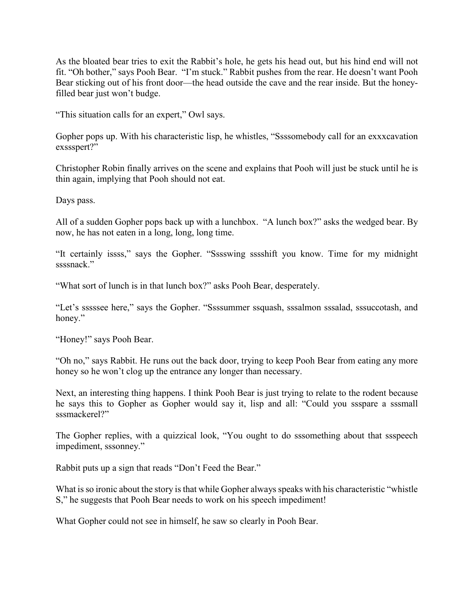As the bloated bear tries to exit the Rabbit's hole, he gets his head out, but his hind end will not fit. "Oh bother," says Pooh Bear. "I'm stuck." Rabbit pushes from the rear. He doesn't want Pooh Bear sticking out of his front door—the head outside the cave and the rear inside. But the honeyfilled bear just won't budge.

"This situation calls for an expert," Owl says.

Gopher pops up. With his characteristic lisp, he whistles, "Ssssomebody call for an exxxcavation exssspert?"

Christopher Robin finally arrives on the scene and explains that Pooh will just be stuck until he is thin again, implying that Pooh should not eat.

Days pass.

All of a sudden Gopher pops back up with a lunchbox. "A lunch box?" asks the wedged bear. By now, he has not eaten in a long, long, long time.

"It certainly issss," says the Gopher. "Sssswing sssshift you know. Time for my midnight ssssnack."

"What sort of lunch is in that lunch box?" asks Pooh Bear, desperately.

"Let's sssssee here," says the Gopher. "Ssssummer ssquash, sssalmon sssalad, sssuccotash, and honey."

"Honey!" says Pooh Bear.

"Oh no," says Rabbit. He runs out the back door, trying to keep Pooh Bear from eating any more honey so he won't clog up the entrance any longer than necessary.

Next, an interesting thing happens. I think Pooh Bear is just trying to relate to the rodent because he says this to Gopher as Gopher would say it, lisp and all: "Could you ssspare a sssmall sssmackerel?"

The Gopher replies, with a quizzical look, "You ought to do sssomething about that ssspeech impediment, sssonney."

Rabbit puts up a sign that reads "Don't Feed the Bear."

What is so ironic about the story is that while Gopher always speaks with his characteristic "whistle S," he suggests that Pooh Bear needs to work on his speech impediment!

What Gopher could not see in himself, he saw so clearly in Pooh Bear.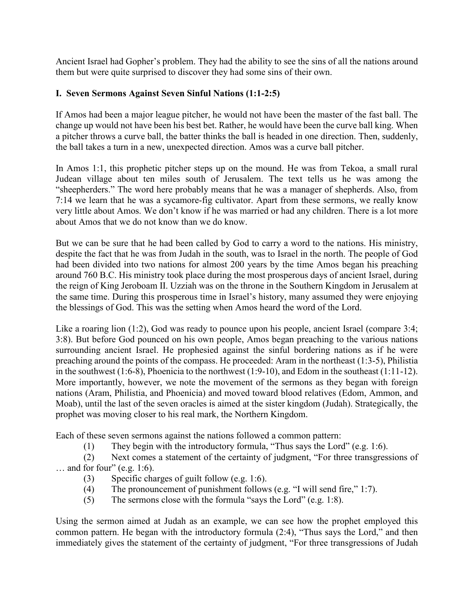Ancient Israel had Gopher's problem. They had the ability to see the sins of all the nations around them but were quite surprised to discover they had some sins of their own.

## **I. Seven Sermons Against Seven Sinful Nations (1:1-2:5)**

If Amos had been a major league pitcher, he would not have been the master of the fast ball. The change up would not have been his best bet. Rather, he would have been the curve ball king. When a pitcher throws a curve ball, the batter thinks the ball is headed in one direction. Then, suddenly, the ball takes a turn in a new, unexpected direction. Amos was a curve ball pitcher.

In Amos 1:1, this prophetic pitcher steps up on the mound. He was from Tekoa, a small rural Judean village about ten miles south of Jerusalem. The text tells us he was among the "sheepherders." The word here probably means that he was a manager of shepherds. Also, from 7:14 we learn that he was a sycamore-fig cultivator. Apart from these sermons, we really know very little about Amos. We don't know if he was married or had any children. There is a lot more about Amos that we do not know than we do know.

But we can be sure that he had been called by God to carry a word to the nations. His ministry, despite the fact that he was from Judah in the south, was to Israel in the north. The people of God had been divided into two nations for almost 200 years by the time Amos began his preaching around 760 B.C. His ministry took place during the most prosperous days of ancient Israel, during the reign of King Jeroboam II. Uzziah was on the throne in the Southern Kingdom in Jerusalem at the same time. During this prosperous time in Israel's history, many assumed they were enjoying the blessings of God. This was the setting when Amos heard the word of the Lord.

Like a roaring lion (1:2), God was ready to pounce upon his people, ancient Israel (compare 3:4; 3:8). But before God pounced on his own people, Amos began preaching to the various nations surrounding ancient Israel. He prophesied against the sinful bordering nations as if he were preaching around the points of the compass. He proceeded: Aram in the northeast (1:3-5), Philistia in the southwest (1:6-8), Phoenicia to the northwest (1:9-10), and Edom in the southeast (1:11-12). More importantly, however, we note the movement of the sermons as they began with foreign nations (Aram, Philistia, and Phoenicia) and moved toward blood relatives (Edom, Ammon, and Moab), until the last of the seven oracles is aimed at the sister kingdom (Judah). Strategically, the prophet was moving closer to his real mark, the Northern Kingdom.

Each of these seven sermons against the nations followed a common pattern:

(1) They begin with the introductory formula, "Thus says the Lord" (e.g. 1:6).

(2) Next comes a statement of the certainty of judgment, "For three transgressions of  $\ldots$  and for four" (e.g. 1:6).

- (3) Specific charges of guilt follow (e.g. 1:6).
- (4) The pronouncement of punishment follows (e.g. "I will send fire," 1:7).
- (5) The sermons close with the formula "says the Lord" (e.g. 1:8).

Using the sermon aimed at Judah as an example, we can see how the prophet employed this common pattern. He began with the introductory formula (2:4), "Thus says the Lord," and then immediately gives the statement of the certainty of judgment, "For three transgressions of Judah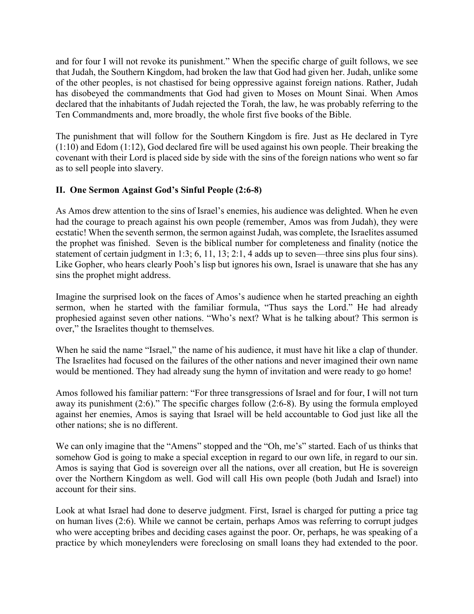and for four I will not revoke its punishment." When the specific charge of guilt follows, we see that Judah, the Southern Kingdom, had broken the law that God had given her. Judah, unlike some of the other peoples, is not chastised for being oppressive against foreign nations. Rather, Judah has disobeyed the commandments that God had given to Moses on Mount Sinai. When Amos declared that the inhabitants of Judah rejected the Torah, the law, he was probably referring to the Ten Commandments and, more broadly, the whole first five books of the Bible.

The punishment that will follow for the Southern Kingdom is fire. Just as He declared in Tyre (1:10) and Edom (1:12), God declared fire will be used against his own people. Their breaking the covenant with their Lord is placed side by side with the sins of the foreign nations who went so far as to sell people into slavery.

# **II. One Sermon Against God's Sinful People (2:6-8)**

As Amos drew attention to the sins of Israel's enemies, his audience was delighted. When he even had the courage to preach against his own people (remember, Amos was from Judah), they were ecstatic! When the seventh sermon, the sermon against Judah, was complete, the Israelites assumed the prophet was finished. Seven is the biblical number for completeness and finality (notice the statement of certain judgment in 1:3; 6, 11, 13; 2:1, 4 adds up to seven—three sins plus four sins). Like Gopher, who hears clearly Pooh's lisp but ignores his own, Israel is unaware that she has any sins the prophet might address.

Imagine the surprised look on the faces of Amos's audience when he started preaching an eighth sermon, when he started with the familiar formula, "Thus says the Lord." He had already prophesied against seven other nations. "Who's next? What is he talking about? This sermon is over," the Israelites thought to themselves.

When he said the name "Israel," the name of his audience, it must have hit like a clap of thunder. The Israelites had focused on the failures of the other nations and never imagined their own name would be mentioned. They had already sung the hymn of invitation and were ready to go home!

Amos followed his familiar pattern: "For three transgressions of Israel and for four, I will not turn away its punishment (2:6)." The specific charges follow (2:6-8). By using the formula employed against her enemies, Amos is saying that Israel will be held accountable to God just like all the other nations; she is no different.

We can only imagine that the "Amens" stopped and the "Oh, me's" started. Each of us thinks that somehow God is going to make a special exception in regard to our own life, in regard to our sin. Amos is saying that God is sovereign over all the nations, over all creation, but He is sovereign over the Northern Kingdom as well. God will call His own people (both Judah and Israel) into account for their sins.

Look at what Israel had done to deserve judgment. First, Israel is charged for putting a price tag on human lives (2:6). While we cannot be certain, perhaps Amos was referring to corrupt judges who were accepting bribes and deciding cases against the poor. Or, perhaps, he was speaking of a practice by which moneylenders were foreclosing on small loans they had extended to the poor.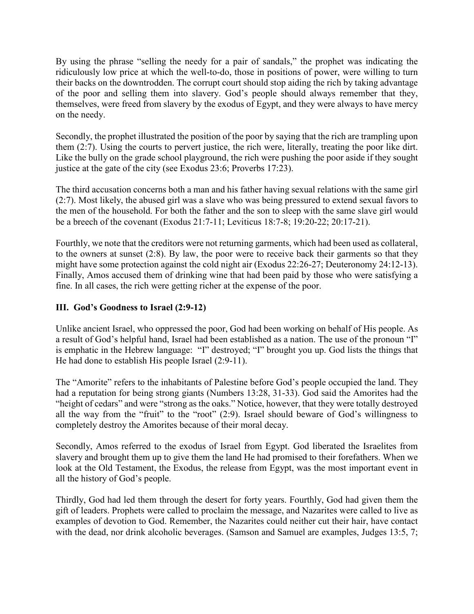By using the phrase "selling the needy for a pair of sandals," the prophet was indicating the ridiculously low price at which the well-to-do, those in positions of power, were willing to turn their backs on the downtrodden. The corrupt court should stop aiding the rich by taking advantage of the poor and selling them into slavery. God's people should always remember that they, themselves, were freed from slavery by the exodus of Egypt, and they were always to have mercy on the needy.

Secondly, the prophet illustrated the position of the poor by saying that the rich are trampling upon them (2:7). Using the courts to pervert justice, the rich were, literally, treating the poor like dirt. Like the bully on the grade school playground, the rich were pushing the poor aside if they sought justice at the gate of the city (see Exodus 23:6; Proverbs 17:23).

The third accusation concerns both a man and his father having sexual relations with the same girl (2:7). Most likely, the abused girl was a slave who was being pressured to extend sexual favors to the men of the household. For both the father and the son to sleep with the same slave girl would be a breech of the covenant (Exodus 21:7-11; Leviticus 18:7-8; 19:20-22; 20:17-21).

Fourthly, we note that the creditors were not returning garments, which had been used as collateral, to the owners at sunset (2:8). By law, the poor were to receive back their garments so that they might have some protection against the cold night air (Exodus 22:26-27; Deuteronomy 24:12-13). Finally, Amos accused them of drinking wine that had been paid by those who were satisfying a fine. In all cases, the rich were getting richer at the expense of the poor.

# **III. God's Goodness to Israel (2:9-12)**

Unlike ancient Israel, who oppressed the poor, God had been working on behalf of His people. As a result of God's helpful hand, Israel had been established as a nation. The use of the pronoun "I" is emphatic in the Hebrew language: "I" destroyed; "I" brought you up. God lists the things that He had done to establish His people Israel (2:9-11).

The "Amorite" refers to the inhabitants of Palestine before God's people occupied the land. They had a reputation for being strong giants (Numbers 13:28, 31-33). God said the Amorites had the "height of cedars" and were "strong as the oaks." Notice, however, that they were totally destroyed all the way from the "fruit" to the "root" (2:9). Israel should beware of God's willingness to completely destroy the Amorites because of their moral decay.

Secondly, Amos referred to the exodus of Israel from Egypt. God liberated the Israelites from slavery and brought them up to give them the land He had promised to their forefathers. When we look at the Old Testament, the Exodus, the release from Egypt, was the most important event in all the history of God's people.

Thirdly, God had led them through the desert for forty years. Fourthly, God had given them the gift of leaders. Prophets were called to proclaim the message, and Nazarites were called to live as examples of devotion to God. Remember, the Nazarites could neither cut their hair, have contact with the dead, nor drink alcoholic beverages. (Samson and Samuel are examples, Judges 13:5, 7;